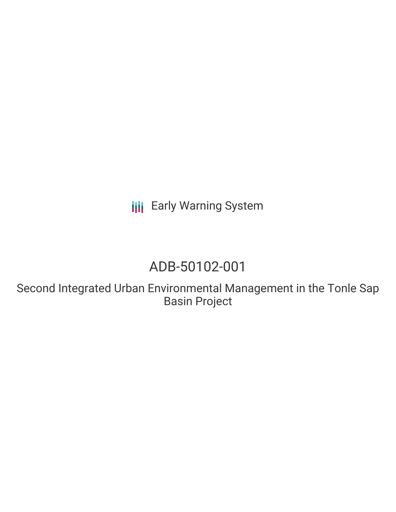**III** Early Warning System

# ADB-50102-001

Second Integrated Urban Environmental Management in the Tonle Sap Basin Project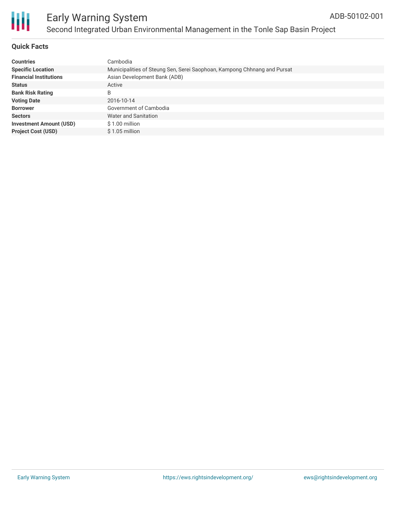

# **Quick Facts**

| <b>Countries</b>               | Cambodia                                                                 |
|--------------------------------|--------------------------------------------------------------------------|
| <b>Specific Location</b>       | Municipalities of Steung Sen, Serei Saophoan, Kampong Chhnang and Pursat |
| <b>Financial Institutions</b>  | Asian Development Bank (ADB)                                             |
| <b>Status</b>                  | Active                                                                   |
| <b>Bank Risk Rating</b>        | B                                                                        |
| <b>Voting Date</b>             | 2016-10-14                                                               |
| <b>Borrower</b>                | Government of Cambodia                                                   |
| <b>Sectors</b>                 | Water and Sanitation                                                     |
| <b>Investment Amount (USD)</b> | \$1.00 million                                                           |
| <b>Project Cost (USD)</b>      | $$1.05$ million                                                          |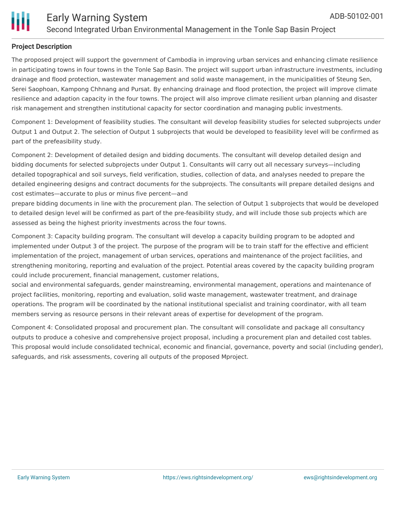

## **Project Description**

The proposed project will support the government of Cambodia in improving urban services and enhancing climate resilience in participating towns in four towns in the Tonle Sap Basin. The project will support urban infrastructure investments, including drainage and flood protection, wastewater management and solid waste management, in the municipalities of Steung Sen, Serei Saophoan, Kampong Chhnang and Pursat. By enhancing drainage and flood protection, the project will improve climate resilience and adaption capacity in the four towns. The project will also improve climate resilient urban planning and disaster risk management and strengthen institutional capacity for sector coordination and managing public investments.

Component 1: Development of feasibility studies. The consultant will develop feasibility studies for selected subprojects under Output 1 and Output 2. The selection of Output 1 subprojects that would be developed to feasibility level will be confirmed as part of the prefeasibility study.

Component 2: Development of detailed design and bidding documents. The consultant will develop detailed design and bidding documents for selected subprojects under Output 1. Consultants will carry out all necessary surveys—including detailed topographical and soil surveys, field verification, studies, collection of data, and analyses needed to prepare the detailed engineering designs and contract documents for the subprojects. The consultants will prepare detailed designs and cost estimates—accurate to plus or minus five percent—and

prepare bidding documents in line with the procurement plan. The selection of Output 1 subprojects that would be developed to detailed design level will be confirmed as part of the pre-feasibility study, and will include those sub projects which are assessed as being the highest priority investments across the four towns.

Component 3: Capacity building program. The consultant will develop a capacity building program to be adopted and implemented under Output 3 of the project. The purpose of the program will be to train staff for the effective and efficient implementation of the project, management of urban services, operations and maintenance of the project facilities, and strengthening monitoring, reporting and evaluation of the project. Potential areas covered by the capacity building program could include procurement, financial management, customer relations,

social and environmental safeguards, gender mainstreaming, environmental management, operations and maintenance of project facilities, monitoring, reporting and evaluation, solid waste management, wastewater treatment, and drainage operations. The program will be coordinated by the national institutional specialist and training coordinator, with all team members serving as resource persons in their relevant areas of expertise for development of the program.

Component 4: Consolidated proposal and procurement plan. The consultant will consolidate and package all consultancy outputs to produce a cohesive and comprehensive project proposal, including a procurement plan and detailed cost tables. This proposal would include consolidated technical, economic and financial, governance, poverty and social (including gender), safeguards, and risk assessments, covering all outputs of the proposed Mproject.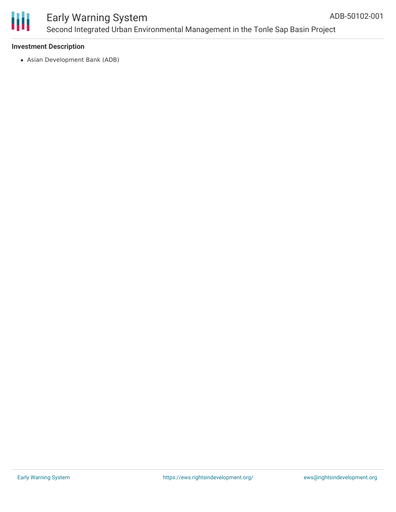

# Early Warning System Second Integrated Urban Environmental Management in the Tonle Sap Basin Project

### **Investment Description**

Asian Development Bank (ADB)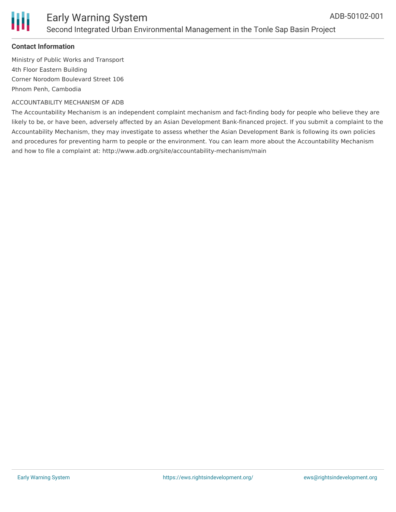

## **Contact Information**

Ministry of Public Works and Transport 4th Floor Eastern Building Corner Norodom Boulevard Street 106 Phnom Penh, Cambodia

#### ACCOUNTABILITY MECHANISM OF ADB

The Accountability Mechanism is an independent complaint mechanism and fact-finding body for people who believe they are likely to be, or have been, adversely affected by an Asian Development Bank-financed project. If you submit a complaint to the Accountability Mechanism, they may investigate to assess whether the Asian Development Bank is following its own policies and procedures for preventing harm to people or the environment. You can learn more about the Accountability Mechanism and how to file a complaint at: http://www.adb.org/site/accountability-mechanism/main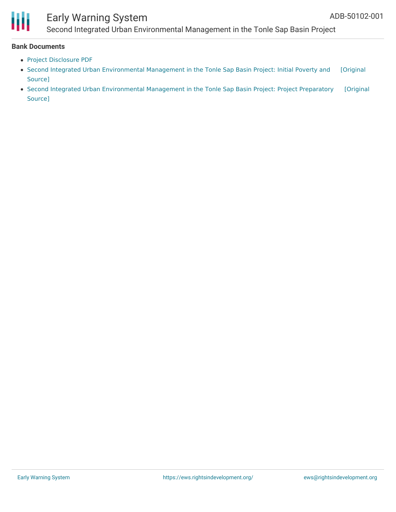

# Early Warning System

Second Integrated Urban Environmental Management in the Tonle Sap Basin Project

#### **Bank Documents**

- Project [Disclosure](https://www.adb.org/printpdf/projects/ADB-50102-001/main) PDF
- Second Integrated Urban [Environmental](https://www.adb.org/projects/documents/cam-second-iuem-tonle-sap-basin-ipsa) Management in the Tonle Sap Basin Project: Initial Poverty and [Original Source]
- Second Integrated Urban [Environmental](https://www.adb.org/projects/documents/cam-second-iuem-tonle-sap-basin-pptar) Management in the Tonle Sap Basin Project: Project Preparatory [Original Source]